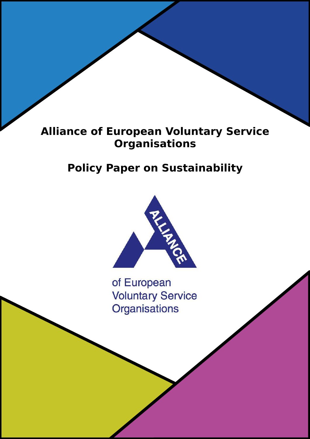# Alliance of European Voluntary Service **Organisations**

# Policy Paper on Sustainability



of European **Voluntary Service Organisations**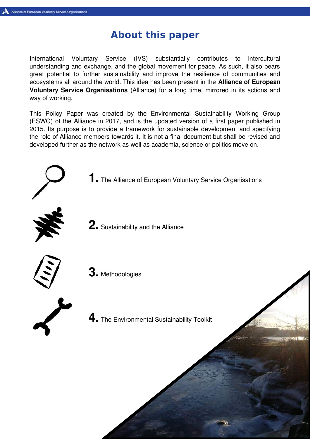# About this paper

International Voluntary Service (IVS) substantially contributes to intercultural understanding and exchange, and the global movement for peace. As such, it also bears great potential to further sustainability and improve the resilience of communities and ecosystems all around the world. This idea has been present in the **Alliance of European** Voluntary Service Organisations (Alliance) for a long time, mirrored in its actions and way of working.

This Policy Paper was created by the Environmental Sustainability Working Group (ESWG) of the Alliance in 2017, and is the updated version of a first paper published in 2015. Its purpose is to provide a framework for sustainable development and specifying the role of Alliance members towards it. It is not a final document but shall be revised and developed further as the network as well as academia, science or politics move on.

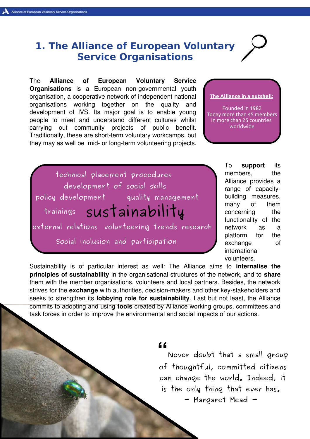### 1. The Alliance of European Voluntary Service Organisations

The Alliance of European Voluntary Service **Organisations** is a European non-governmental youth organisation, a cooperative network of independent national organisations working together on the quality and development of IVS. Its major goal is to enable young people to meet and understand different cultures whilst carrying out community projects of public benefit. Traditionally, these are short-term voluntary workcamps, but they may as well be mid- or long-term volunteering projects.

#### The Alliance in a nutshell:

Founded in 1982 Today more than 45 members In more than 25 countries worldwide

trainings sustainability technical placement procedures development of social skills external relations volunteering trends research policy development quality management Social inclusion and participation

To **support** its members, the Alliance provides a range of capacitybuilding measures, many of them concerning the functionality of the network as a platform for the exchange of international volunteers.

Sustainability is of particular interest as well: The Alliance aims to internalise the principles of sustainability in the organisational structures of the network, and to share them with the member organisations, volunteers and local partners. Besides, the network strives for the exchange with authorities, decision-makers and other key-stakeholders and seeks to strengthen its **lobbying role for sustainability**. Last but not least, the Alliance commits to adopting and using tools created by Alliance working groups, committees and task forces in order to improve the environmental and social impacts of our actions.

#### "

Never doubt that a small group of thoughtful, committed citizens can change the world. Indeed, it is the only thing that ever has.

 $-$  Margaret Mead  $-$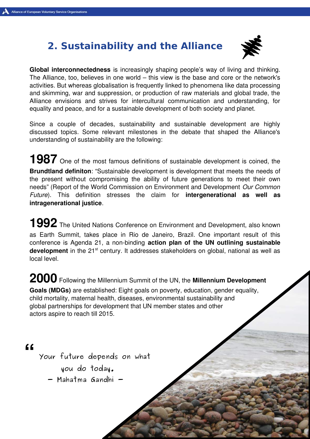# 2. Sustainability and the Alliance



Global interconnectedness is increasingly shaping people's way of living and thinking. The Alliance, too, believes in one world – this view is the base and core or the network's activities. But whereas globalisation is frequently linked to phenomena like data processing and skimming, war and suppression, or production of raw materials and global trade, the Alliance envisions and strives for intercultural communication and understanding, for equality and peace, and for a sustainable development of both society and planet.

Since a couple of decades, sustainability and sustainable development are highly discussed topics. Some relevant milestones in the debate that shaped the Alliance's understanding of sustainability are the following:

1987 One of the most famous definitions of sustainable development is coined, the Brundtland definiton: "Sustainable development is development that meets the needs of the present without compromising the ability of future generations to meet their own needs" (Report of the World Commission on Environment and Development Our Common Future). This definition stresses the claim for **intergenerational as well as** intragenerational justice.

1992 The United Nations Conference on Environment and Development, also known as Earth Summit, takes place in Rio de Janeiro, Brazil. One important result of this conference is Agenda 21, a non-binding action plan of the UN outlining sustainable development in the  $21^{st}$  century. It addresses stakeholders on global, national as well as local level.

2000 Following the Millennium Summit of the UN, the Millennium Development Goals (MDGs) are established: Eight goals on poverty, education, gender equality, child mortality, maternal health, diseases, environmental sustainability and global partnerships for development that UN member states and other actors aspire to reach till 2015.

"

Your future depends on what

you do today.

- Mahatma Gandhi -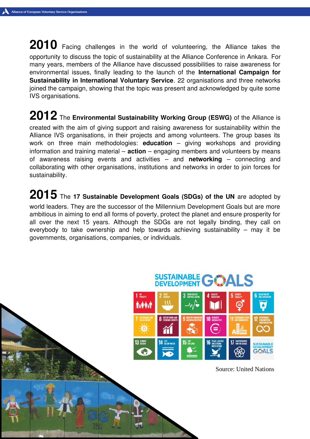2010 Facing challenges in the world of volunteering, the Alliance takes the opportunity to discuss the topic of sustainability at the Alliance Conference in Ankara. For many years, members of the Alliance have discussed possibilities to raise awareness for environmental issues, finally leading to the launch of the International Campaign for Sustainability in International Voluntary Service. 22 organisations and three networks joined the campaign, showing that the topic was present and acknowledged by quite some IVS organisations.

 $2012$  The Environmental Sustainability Working Group (ESWG) of the Alliance is created with the aim of giving support and raising awareness for sustainability within the Alliance IVS organisations, in their projects and among volunteers. The group bases its work on three main methodologies: **education**  $-$  giving workshops and providing information and training material –  $action - engaging$  members and volunteers by means of awareness raising events and activities  $-$  and networking  $-$  connecting and collaborating with other organisations, institutions and networks in order to join forces for sustainability.

2015 The 17 Sustainable Development Goals (SDGs) of the UN are adopted by world leaders. They are the successor of the Millennium Development Goals but are more ambitious in aiming to end all forms of poverty, protect the planet and ensure prosperity for all over the next 15 years. Although the SDGs are not legally binding, they call on everybody to take ownership and help towards achieving sustainability – may it be governments, organisations, companies, or individuals.



Source: United Nations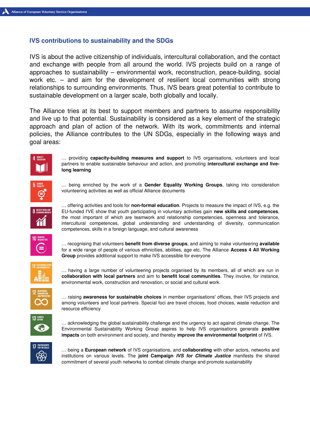#### IVS contributions to sustainability and the SDGs

IVS is about the active citizenship of individuals, intercultural collaboration, and the contact and exchange with people from all around the world. IVS projects build on a range of approaches to sustainability – environmental work, reconstruction, peace-building, social work etc. – and aim for the development of resilient local communities with strong relationships to surrounding environments. Thus, IVS bears great potential to contribute to sustainable development on a larger scale, both globally and locally.

The Alliance tries at its best to support members and partners to assume responsibility and live up to that potential. Sustainability is considered as a key element of the strategic approach and plan of action of the network. With its work, commitments and internal policies, the Alliance contributes to the UN SDGs, especially in the following ways and goal areas:



... providing capacity-building measures and support to IVS organisations, volunteers and local partners to enable sustainable behaviour and action, and promoting intercultural exchange and livelong learning



... being enriched by the work of a Gender Equality Working Groups, taking into consideration volunteering activities as well as official Alliance documents



... offering activities and tools for non-formal education. Projects to measure the impact of IVS, e.g. the EU-funded I'VE show that youth participating in voluntary activities gain new skills and competences, the most important of which are teamwork and relationship competencies, openness and tolerance, intercultural competences, global understanding and understanding of diversity, communication competences, skills in a foreign language, and cultural awareness



... recognising that volunteers benefit from diverse groups, and aiming to make volunteering available for a wide range of people of various ethnicities, abilities, age etc. The Alliance Access 4 All Working Group provides additional support to make IVS accessible for everyone



… having a large number of volunteering projects organised by its members, all of which are run in collaboration with local partners and aim to benefit local communities. They involve, for instance, environmental work, construction and renovation, or social and cultural work.



... raising **awareness for sustainable choices** in member organisations' offices, their IVS projects and among volunteers and local partners. Special foci are travel choices, food choices, waste reduction and resource efficiency



… acknowledging the global sustainability challenge and the urgency to act against climate change. The Environmental Sustainability Working Group aspires to help IVS organisations generate positive impacts on both environment and society, and thereby improve the environmental footprint of IVS.



... being a European network of IVS organisations, and collaborating with other actors, networks and institutions on various levels. The joint Campaign IVS for Climate Justice manifests the shared commitment of several youth networks to combat climate change and promote sustainability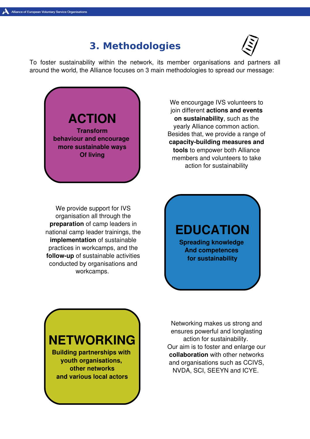### 3. Methodologies



To foster sustainability within the network, its member organisations and partners all around the world, the Alliance focuses on 3 main methodologies to spread our message:

ACTION Transform behaviour and encourage more sustainable ways Of living

We encourgage IVS volunteers to join different actions and events on sustainability, such as the yearly Alliance common action. Besides that, we provide a range of capacity-building measures and tools to empower both Alliance members and volunteers to take action for sustainability

We provide support for IVS organisation all through the preparation of camp leaders in national camp leader trainings, the implementation of sustainable practices in workcamps, and the follow-up of sustainable activities conducted by organisations and workcamps.

EDUCATION Spreading knowledge And competences for sustainability



Networking makes us strong and ensures powerful and longlasting action for sustainability. Our aim is to foster and enlarge our collaboration with other networks and organisations such as CCIVS, NVDA, SCI, SEEYN and ICYE.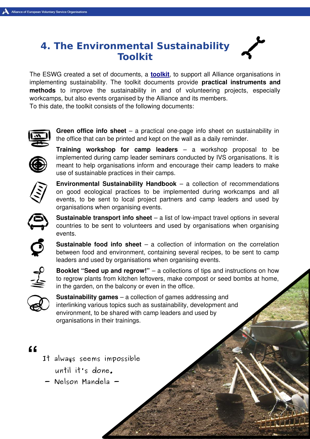## 4. The Environmental Sustainability Toolkit

The ESWG created a set of documents, a **[toolkit](http://www.alliance-network.eu/environmental-sustainability-tools/)**, to support all Alliance organisations in implementing sustainability. The toolkit documents provide practical instruments and methods to improve the sustainability in and of volunteering projects, especially workcamps, but also events organised by the Alliance and its members. To this date, the toolkit consists of the following documents:



**Green office info sheet** – a practical one-page info sheet on sustainability in the office that can be printed and kept on the wall as a daily reminder.



Training workshop for camp leaders – a workshop proposal to be implemented during camp leader seminars conducted by IVS organisations. It is meant to help organisations inform and encourage their camp leaders to make use of sustainable practices in their camps.



Environmental Sustainability Handbook – a collection of recommendations on good ecological practices to be implemented during workcamps and all events, to be sent to local project partners and camp leaders and used by organisations when organising events.



**Sustainable transport info sheet**  $-$  a list of low-impact travel options in several countries to be sent to volunteers and used by organisations when organising events.

**Sustainable food info sheet** – a collection of information on the correlation between food and environment, containing several recipes, to be sent to camp leaders and used by organisations when organising events.



Booklet "Seed up and regrow!" – a collections of tips and instructions on how to regrow plants from kitchen leftovers, make compost or seed bombs at home, in the garden, on the balcony or even in the office.



Sustainability games – a collection of games addressing and interlinking various topics such as sustainability, development and environment, to be shared with camp leaders and used by organisations in their trainings.

#### "

- It always seems impossible until it's done.
- Nelson Mandela -